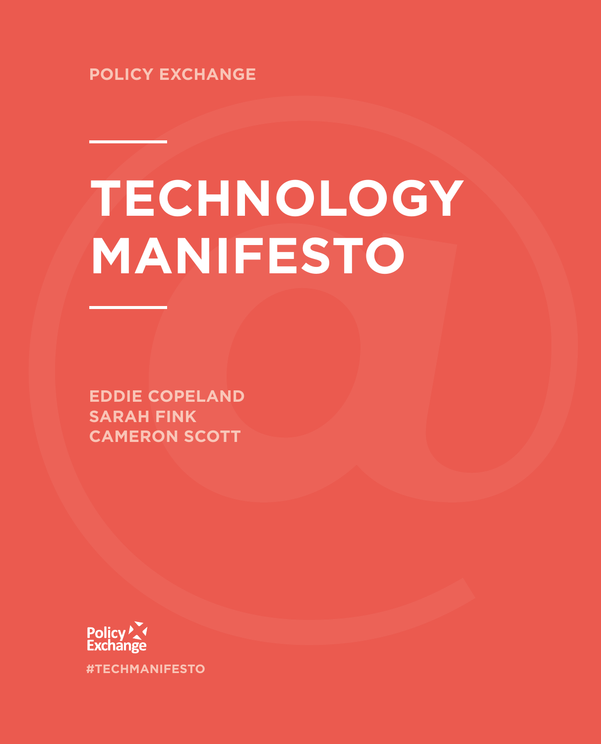**POLICY EXCHANGE**

# **TECHNOLOGY MANIFESTO**

**EDDIE COPELAND SARAH FINK CAMERON SCOTT**



**#TECHMANIFESTO**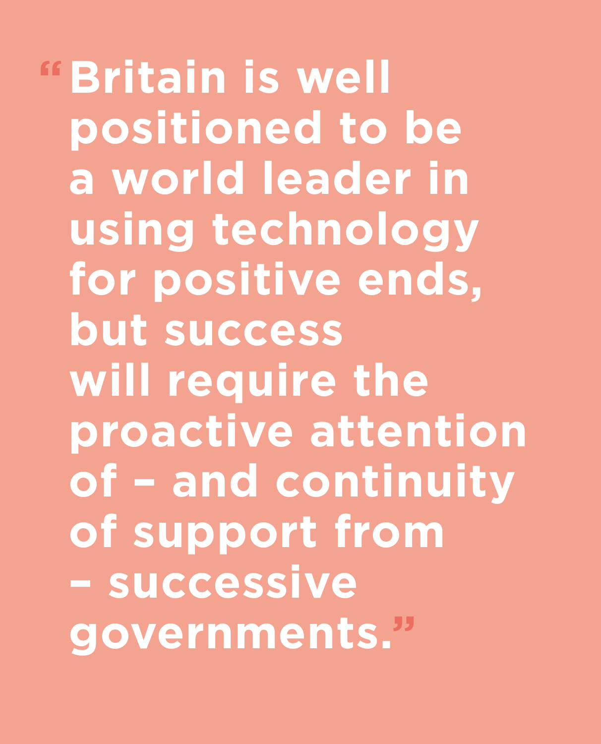**Britain is well "positioned to be a world leader in using technology for positive ends, but success will require the proactive attention of – and continuity of support from – successive governments."**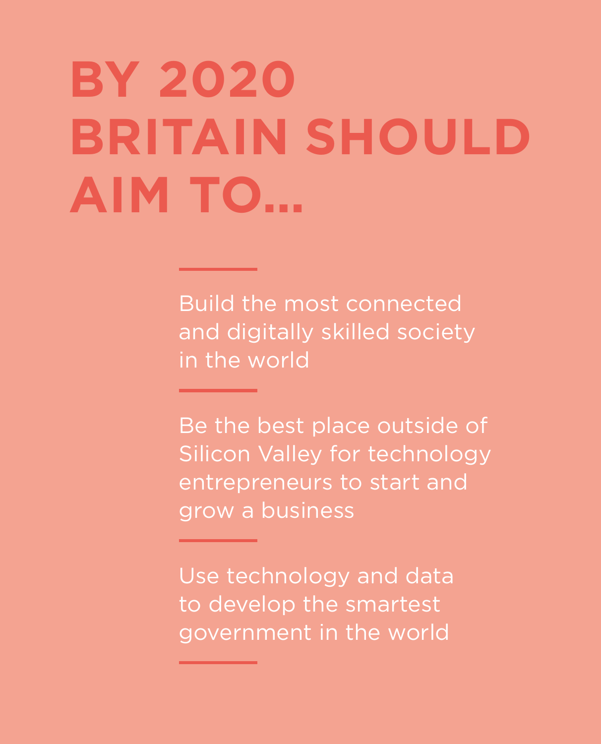# **BY 2020 BRITAIN SHOULD AIM TO…**

Build the most connected and digitally skilled society in the world

Be the best place outside of Silicon Valley for technology entrepreneurs to start and grow a business

Use technology and data to develop the smartest government in the world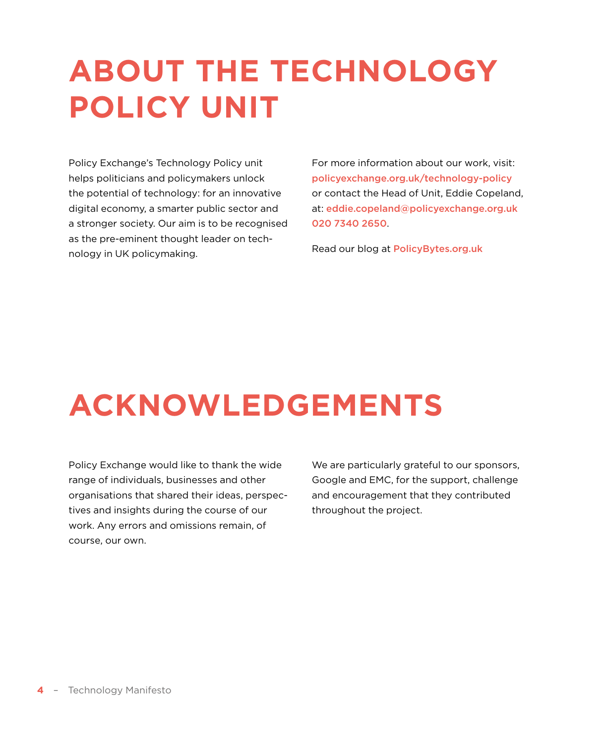### **ABOUT THE TECHNOLOGY POLICY UNIT**

Policy Exchange's Technology Policy unit helps politicians and policymakers unlock the potential of technology: for an innovative digital economy, a smarter public sector and a stronger society. Our aim is to be recognised as the pre-eminent thought leader on technology in UK policymaking.

For more information about our work, visit: <policyexchange.org.uk/technology>-policy or contact the Head of Unit, Eddie Copeland, at: [eddie.copeland@policyexchange.org.uk](mailto:eddie.copeland@policyexchange.org.uk) 020 7340 2650.

Read our blog at <PolicyBytes.org.uk>

### **ACKNOWLEDGEMENTS**

Policy Exchange would like to thank the wide range of individuals, businesses and other organisations that shared their ideas, perspectives and insights during the course of our work. Any errors and omissions remain, of course, our own.

We are particularly grateful to our sponsors, Google and EMC, for the support, challenge and encouragement that they contributed throughout the project.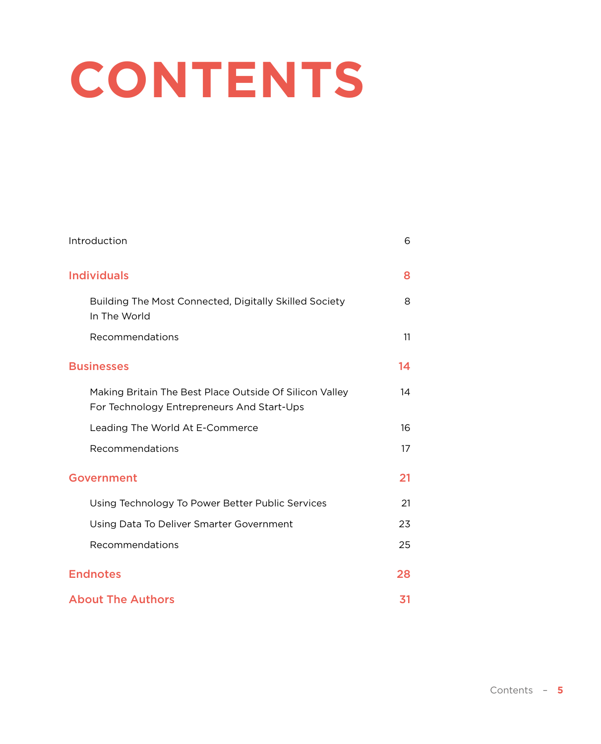## **CONTENTS**

| Introduction                                                                                          | 6  |
|-------------------------------------------------------------------------------------------------------|----|
| <b>Individuals</b>                                                                                    | 8  |
| Building The Most Connected, Digitally Skilled Society<br>In The World                                | 8  |
| Recommendations                                                                                       | 11 |
| <b>Businesses</b>                                                                                     | 14 |
| Making Britain The Best Place Outside Of Silicon Valley<br>For Technology Entrepreneurs And Start-Ups | 14 |
| Leading The World At E-Commerce                                                                       | 16 |
| Recommendations                                                                                       | 17 |
| <b>Government</b>                                                                                     | 21 |
| Using Technology To Power Better Public Services                                                      | 21 |
| Using Data To Deliver Smarter Government                                                              | 23 |
| Recommendations                                                                                       | 25 |
| <b>Endnotes</b>                                                                                       | 28 |
| <b>About The Authors</b>                                                                              | 31 |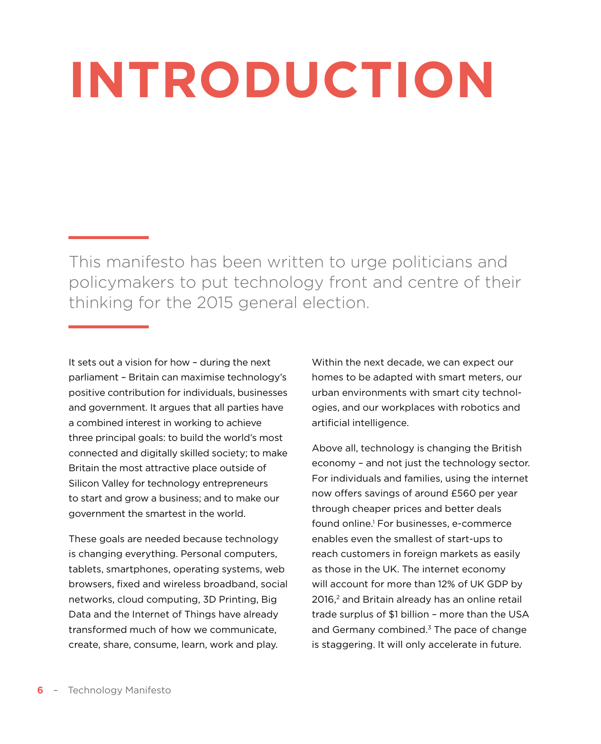# <span id="page-5-0"></span>**INTRODUCTION**

This manifesto has been written to urge politicians and policymakers to put technology front and centre of their thinking for the 2015 general election.

It sets out a vision for how – during the next parliament – Britain can maximise technology's positive contribution for individuals, businesses and government. It argues that all parties have a combined interest in working to achieve three principal goals: to build the world's most connected and digitally skilled society; to make Britain the most attractive place outside of Silicon Valley for technology entrepreneurs to start and grow a business; and to make our government the smartest in the world.

These goals are needed because technology is changing everything. Personal computers, tablets, smartphones, operating systems, web browsers, fixed and wireless broadband, social networks, cloud computing, 3D Printing, Big Data and the Internet of Things have already transformed much of how we communicate, create, share, consume, learn, work and play.

Within the next decade, we can expect our homes to be adapted with smart meters, our urban environments with smart city technologies, and our workplaces with robotics and artificial intelligence.

Above all, technology is changing the British economy – and not just the technology sector. For individuals and families, using the internet now offers savings of around £560 per year through cheaper prices and better deals found online.1 For businesses, e-commerce enables even the smallest of start-ups to reach customers in foreign markets as easily as those in the UK. The internet economy will account for more than 12% of UK GDP by 2016,<sup>2</sup> and Britain already has an online retail trade surplus of \$1 billion – more than the USA and Germany combined. $3$  The pace of change is staggering. It will only accelerate in future.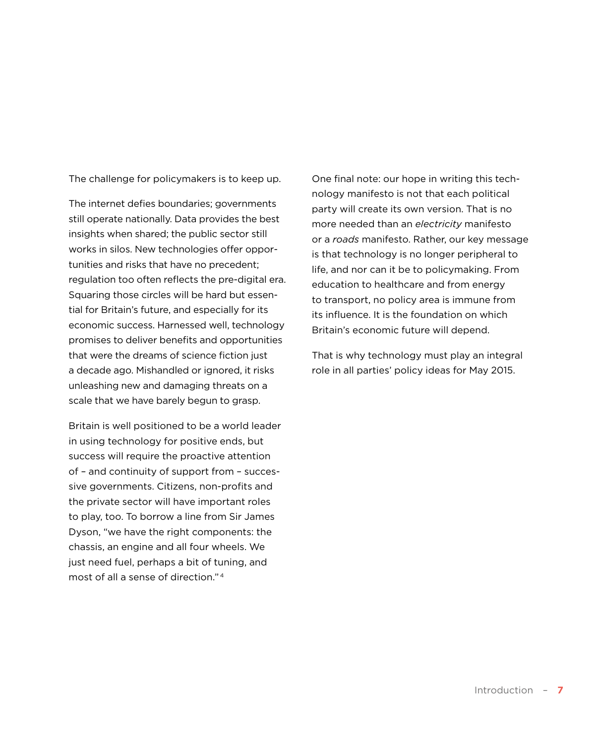The challenge for policymakers is to keep up.

The internet defies boundaries; governments still operate nationally. Data provides the best insights when shared; the public sector still works in silos. New technologies offer opportunities and risks that have no precedent; regulation too often reflects the pre-digital era. Squaring those circles will be hard but essential for Britain's future, and especially for its economic success. Harnessed well, technology promises to deliver benefits and opportunities that were the dreams of science fiction just a decade ago. Mishandled or ignored, it risks unleashing new and damaging threats on a scale that we have barely begun to grasp.

Britain is well positioned to be a world leader in using technology for positive ends, but success will require the proactive attention of – and continuity of support from – successive governments. Citizens, non-profits and the private sector will have important roles to play, too. To borrow a line from Sir James Dyson, "we have the right components: the chassis, an engine and all four wheels. We just need fuel, perhaps a bit of tuning, and most of all a sense of direction."<sup>4</sup>

One final note: our hope in writing this technology manifesto is not that each political party will create its own version. That is no more needed than an *electricity* manifesto or a *roads* manifesto. Rather, our key message is that technology is no longer peripheral to life, and nor can it be to policymaking. From education to healthcare and from energy to transport, no policy area is immune from its influence. It is the foundation on which Britain's economic future will depend.

That is why technology must play an integral role in all parties' policy ideas for May 2015.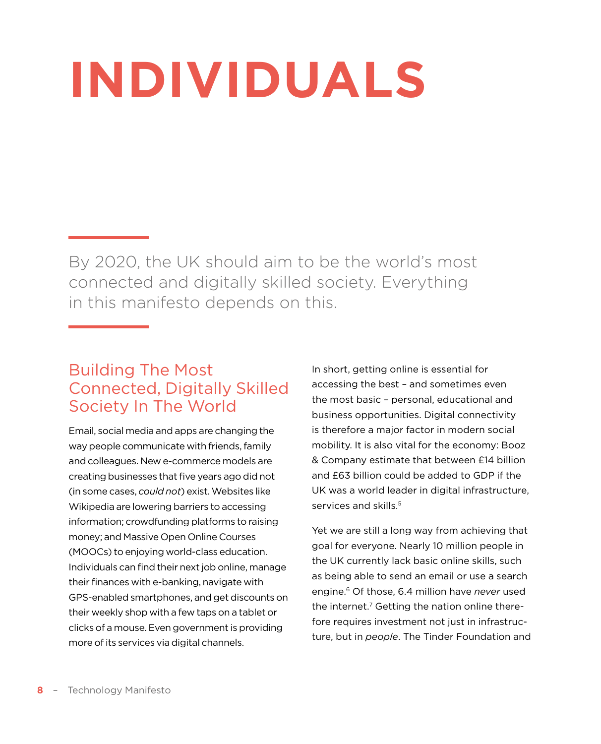## <span id="page-7-0"></span>**INDIVIDUALS**

By 2020, the UK should aim to be the world's most connected and digitally skilled society. Everything in this manifesto depends on this.

### Building The Most Connected, Digitally Skilled Society In The World

Email, social media and apps are changing the way people communicate with friends, family and colleagues. New e-commerce models are creating businesses that five years ago did not (in some cases, *could not*) exist. Websites like Wikipedia are lowering barriers to accessing information; crowdfunding platforms to raising money; and Massive Open Online Courses (MOOCs) to enjoying world-class education. Individuals can find their next job online, manage their finances with e-banking, navigate with GPS-enabled smartphones, and get discounts on their weekly shop with a few taps on a tablet or clicks of a mouse. Even government is providing more of its services via digital channels.

In short, getting online is essential for accessing the best – and sometimes even the most basic – personal, educational and business opportunities. Digital connectivity is therefore a major factor in modern social mobility. It is also vital for the economy: Booz & Company estimate that between £14 billion and £63 billion could be added to GDP if the UK was a world leader in digital infrastructure, services and skills.<sup>5</sup>

Yet we are still a long way from achieving that goal for everyone. Nearly 10 million people in the UK currently lack basic online skills, such as being able to send an email or use a search engine.6 Of those, 6.4 million have *never* used the internet.<sup>7</sup> Getting the nation online therefore requires investment not just in infrastructure, but in *people*. The Tinder Foundation and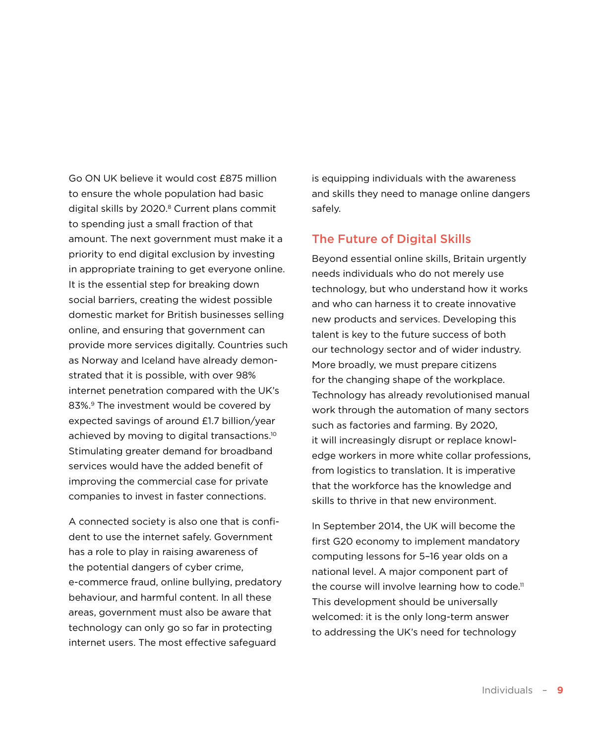Go ON UK believe it would cost £875 million to ensure the whole population had basic digital skills by 2020.8 Current plans commit to spending just a small fraction of that amount. The next government must make it a priority to end digital exclusion by investing in appropriate training to get everyone online. It is the essential step for breaking down social barriers, creating the widest possible domestic market for British businesses selling online, and ensuring that government can provide more services digitally. Countries such as Norway and Iceland have already demonstrated that it is possible, with over 98% internet penetration compared with the UK's 83%.<sup>9</sup> The investment would be covered by expected savings of around £1.7 billion/year achieved by moving to digital transactions.10 Stimulating greater demand for broadband services would have the added benefit of improving the commercial case for private companies to invest in faster connections.

A connected society is also one that is confident to use the internet safely. Government has a role to play in raising awareness of the potential dangers of cyber crime, e-commerce fraud, online bullying, predatory behaviour, and harmful content. In all these areas, government must also be aware that technology can only go so far in protecting internet users. The most effective safeguard

is equipping individuals with the awareness and skills they need to manage online dangers safely.

#### The Future of Digital Skills

Beyond essential online skills, Britain urgently needs individuals who do not merely use technology, but who understand how it works and who can harness it to create innovative new products and services. Developing this talent is key to the future success of both our technology sector and of wider industry. More broadly, we must prepare citizens for the changing shape of the workplace. Technology has already revolutionised manual work through the automation of many sectors such as factories and farming. By 2020, it will increasingly disrupt or replace knowledge workers in more white collar professions, from logistics to translation. It is imperative that the workforce has the knowledge and skills to thrive in that new environment.

In September 2014, the UK will become the first G20 economy to implement mandatory computing lessons for 5–16 year olds on a national level. A major component part of the course will involve learning how to code.<sup>11</sup> This development should be universally welcomed: it is the only long-term answer to addressing the UK's need for technology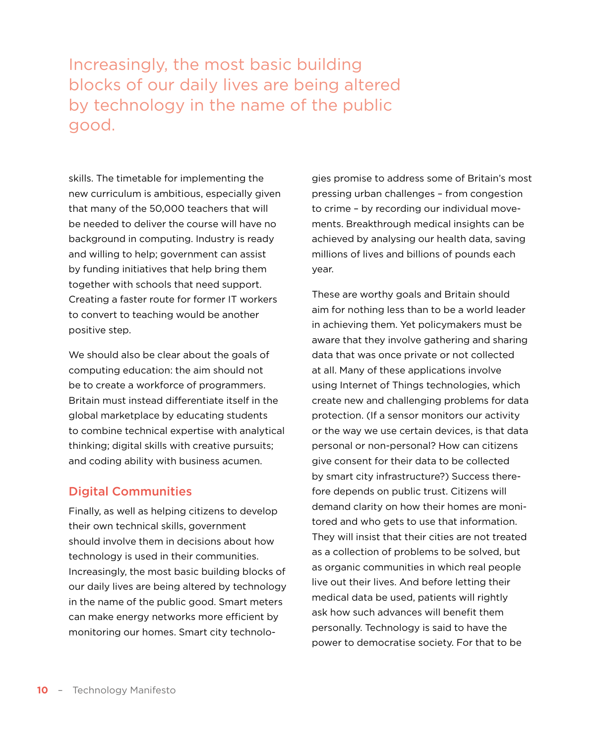### Increasingly, the most basic building blocks of our daily lives are being altered by technology in the name of the public good.

skills. The timetable for implementing the new curriculum is ambitious, especially given that many of the 50,000 teachers that will be needed to deliver the course will have no background in computing. Industry is ready and willing to help; government can assist by funding initiatives that help bring them together with schools that need support. Creating a faster route for former IT workers to convert to teaching would be another positive step.

We should also be clear about the goals of computing education: the aim should not be to create a workforce of programmers. Britain must instead differentiate itself in the global marketplace by educating students to combine technical expertise with analytical thinking; digital skills with creative pursuits; and coding ability with business acumen.

#### Digital Communities

Finally, as well as helping citizens to develop their own technical skills, government should involve them in decisions about how technology is used in their communities. Increasingly, the most basic building blocks of our daily lives are being altered by technology in the name of the public good. Smart meters can make energy networks more efficient by monitoring our homes. Smart city technolo-

gies promise to address some of Britain's most pressing urban challenges – from congestion to crime – by recording our individual movements. Breakthrough medical insights can be achieved by analysing our health data, saving millions of lives and billions of pounds each year.

These are worthy goals and Britain should aim for nothing less than to be a world leader in achieving them. Yet policymakers must be aware that they involve gathering and sharing data that was once private or not collected at all. Many of these applications involve using Internet of Things technologies, which create new and challenging problems for data protection. (If a sensor monitors our activity or the way we use certain devices, is that data personal or non-personal? How can citizens give consent for their data to be collected by smart city infrastructure?) Success therefore depends on public trust. Citizens will demand clarity on how their homes are monitored and who gets to use that information. They will insist that their cities are not treated as a collection of problems to be solved, but as organic communities in which real people live out their lives. And before letting their medical data be used, patients will rightly ask how such advances will benefit them personally. Technology is said to have the power to democratise society. For that to be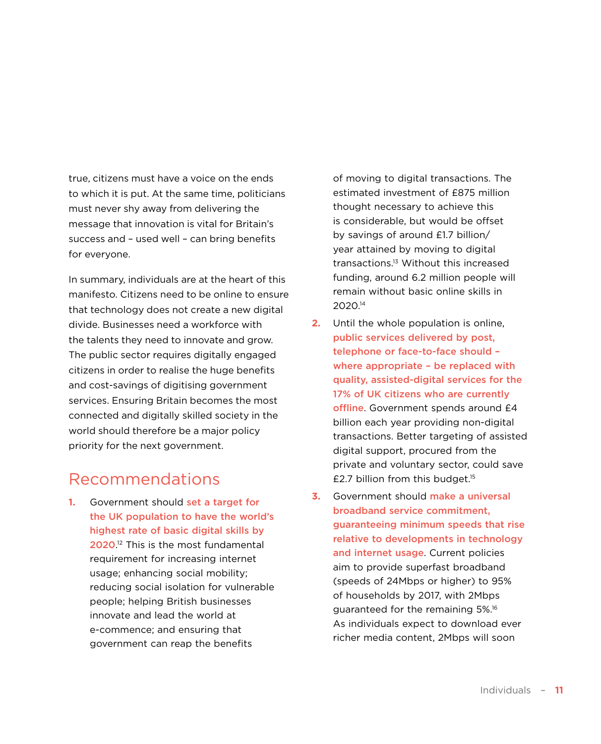<span id="page-10-0"></span>true, citizens must have a voice on the ends to which it is put. At the same time, politicians must never shy away from delivering the message that innovation is vital for Britain's success and – used well – can bring benefits for everyone.

In summary, individuals are at the heart of this manifesto. Citizens need to be online to ensure that technology does not create a new digital divide. Businesses need a workforce with the talents they need to innovate and grow. The public sector requires digitally engaged citizens in order to realise the huge benefits and cost-savings of digitising government services. Ensuring Britain becomes the most connected and digitally skilled society in the world should therefore be a major policy priority for the next government.

#### Recommendations

**1.** Government should set a target for the UK population to have the world's highest rate of basic digital skills by 2020<sup>12</sup> This is the most fundamental requirement for increasing internet usage; enhancing social mobility; reducing social isolation for vulnerable people; helping British businesses innovate and lead the world at e-commence; and ensuring that government can reap the benefits

of moving to digital transactions. The estimated investment of £875 million thought necessary to achieve this is considerable, but would be offset by savings of around £1.7 billion/ year attained by moving to digital transactions.13 Without this increased funding, around 6.2 million people will remain without basic online skills in 2020.14

- **2.** Until the whole population is online, public services delivered by post, telephone or face-to-face should – where appropriate – be replaced with quality, assisted-digital services for the 17% of UK citizens who are currently offline. Government spends around £4 billion each year providing non-digital transactions. Better targeting of assisted digital support, procured from the private and voluntary sector, could save £2.7 billion from this budget.15
- **3.** Government should make a universal broadband service commitment, guaranteeing minimum speeds that rise relative to developments in technology and internet usage. Current policies aim to provide superfast broadband (speeds of 24Mbps or higher) to 95% of households by 2017, with 2Mbps guaranteed for the remaining 5%.16 As individuals expect to download ever richer media content, 2Mbps will soon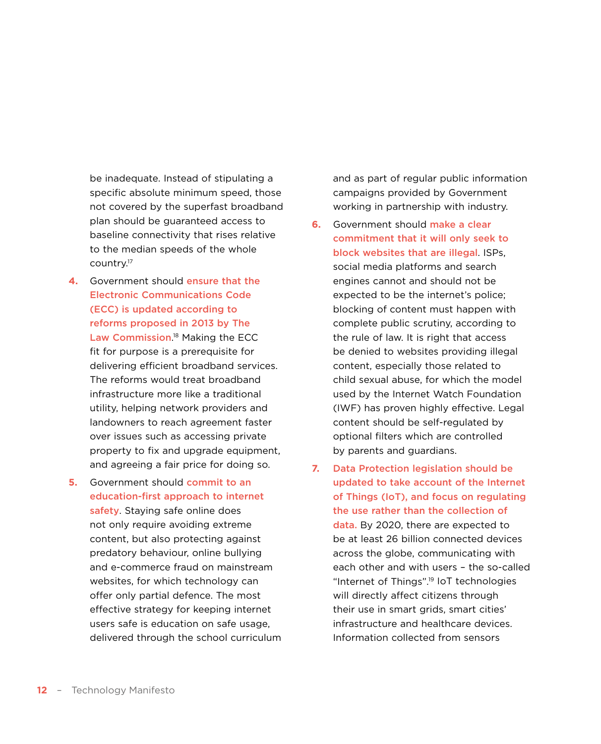be inadequate. Instead of stipulating a specific absolute minimum speed, those not covered by the superfast broadband plan should be guaranteed access to baseline connectivity that rises relative to the median speeds of the whole country.17

- **4.** Government should ensure that the Electronic Communications Code (ECC) is updated according to reforms proposed in 2013 by The Law Commission.<sup>18</sup> Making the ECC fit for purpose is a prerequisite for delivering efficient broadband services. The reforms would treat broadband infrastructure more like a traditional utility, helping network providers and landowners to reach agreement faster over issues such as accessing private property to fix and upgrade equipment, and agreeing a fair price for doing so.
- **5.** Government should commit to an education-first approach to internet safety. Staying safe online does not only require avoiding extreme content, but also protecting against predatory behaviour, online bullying and e-commerce fraud on mainstream websites, for which technology can offer only partial defence. The most effective strategy for keeping internet users safe is education on safe usage, delivered through the school curriculum

and as part of regular public information campaigns provided by Government working in partnership with industry.

- **6.** Government should make a clear commitment that it will only seek to block websites that are illegal. ISPs, social media platforms and search engines cannot and should not be expected to be the internet's police; blocking of content must happen with complete public scrutiny, according to the rule of law. It is right that access be denied to websites providing illegal content, especially those related to child sexual abuse, for which the model used by the Internet Watch Foundation (IWF) has proven highly effective. Legal content should be self-regulated by optional filters which are controlled by parents and guardians.
- **7.** Data Protection legislation should be updated to take account of the Internet of Things (IoT), and focus on regulating the use rather than the collection of data. By 2020, there are expected to be at least 26 billion connected devices across the globe, communicating with each other and with users – the so-called "Internet of Things".19 IoT technologies will directly affect citizens through their use in smart grids, smart cities' infrastructure and healthcare devices. Information collected from sensors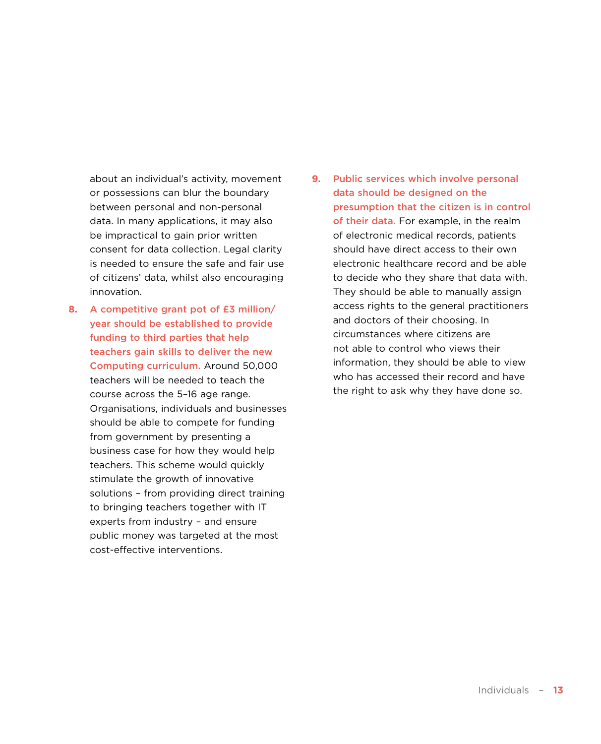about an individual's activity, movement or possessions can blur the boundary between personal and non-personal data. In many applications, it may also be impractical to gain prior written consent for data collection. Legal clarity is needed to ensure the safe and fair use of citizens' data, whilst also encouraging innovation.

- **8.** A competitive grant pot of £3 million/ year should be established to provide funding to third parties that help teachers gain skills to deliver the new Computing curriculum. Around 50,000 teachers will be needed to teach the course across the 5–16 age range. Organisations, individuals and businesses should be able to compete for funding from government by presenting a business case for how they would help teachers. This scheme would quickly stimulate the growth of innovative solutions – from providing direct training to bringing teachers together with IT experts from industry – and ensure public money was targeted at the most cost-effective interventions.
- **9.** Public services which involve personal data should be designed on the presumption that the citizen is in control of their data. For example, in the realm of electronic medical records, patients should have direct access to their own electronic healthcare record and be able to decide who they share that data with. They should be able to manually assign access rights to the general practitioners and doctors of their choosing. In circumstances where citizens are not able to control who views their information, they should be able to view who has accessed their record and have the right to ask why they have done so.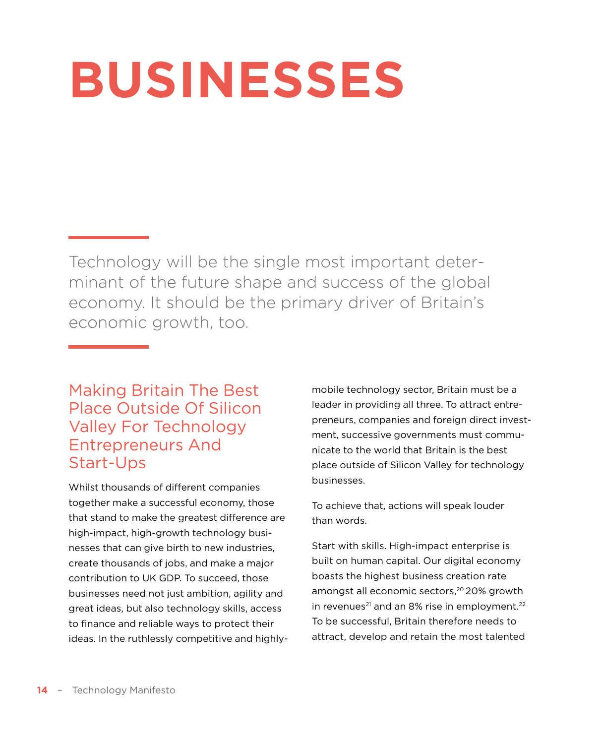### <span id="page-13-0"></span>**BUSINESSES**

Technology will be the single most important determinant of the future shape and success of the global economy. It should be the primary driver of Britain's economic growth, too.

#### Making Britain The Best Place Outside Of Silicon Valley For Technology Entrepreneurs And Start-Ups

Whilst thousands of different companies together make a successful economy, those that stand to make the greatest difference are high-impact, high-growth technology businesses that can give birth to new industries, create thousands of jobs, and make a major contribution to UK GDP. To succeed, those businesses need not just ambition, agility and great ideas, but also technology skills, access to finance and reliable ways to protect their ideas. In the ruthlessly competitive and highlymobile technology sector, Britain must be a leader in providing all three. To attract entrepreneurs, companies and foreign direct investment, successive governments must communicate to the world that Britain is the best place outside of Silicon Valley for technology businesses.

To achieve that, actions will speak louder than words.

Start with skills. High-impact enterprise is built on human capital. Our digital economy boasts the highest business creation rate amongst all economic sectors,<sup>20</sup> 20% growth in revenues<sup>21</sup> and an 8% rise in employment.<sup>22</sup> To be successful, Britain therefore needs to attract, develop and retain the most talented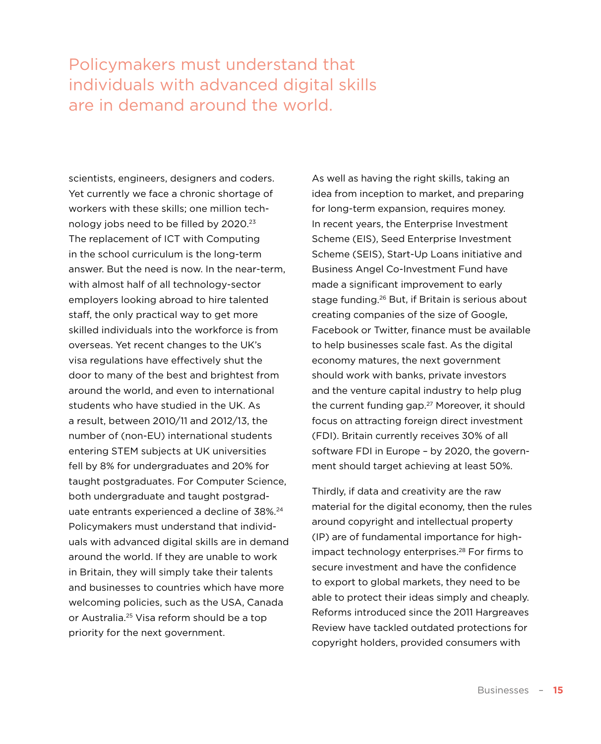### Policymakers must understand that individuals with advanced digital skills are in demand around the world.

scientists, engineers, designers and coders. Yet currently we face a chronic shortage of workers with these skills; one million technology jobs need to be filled by 2020.23 The replacement of ICT with Computing in the school curriculum is the long-term answer. But the need is now. In the near-term, with almost half of all technology-sector employers looking abroad to hire talented staff, the only practical way to get more skilled individuals into the workforce is from overseas. Yet recent changes to the UK's visa regulations have effectively shut the door to many of the best and brightest from around the world, and even to international students who have studied in the UK. As a result, between 2010/11 and 2012/13, the number of (non-EU) international students entering STEM subjects at UK universities fell by 8% for undergraduates and 20% for taught postgraduates. For Computer Science, both undergraduate and taught postgraduate entrants experienced a decline of 38%.24 Policymakers must understand that individuals with advanced digital skills are in demand around the world. If they are unable to work in Britain, they will simply take their talents and businesses to countries which have more welcoming policies, such as the USA, Canada or Australia.25 Visa reform should be a top priority for the next government.

As well as having the right skills, taking an idea from inception to market, and preparing for long-term expansion, requires money. In recent years, the Enterprise Investment Scheme (EIS), Seed Enterprise Investment Scheme (SEIS), Start-Up Loans initiative and Business Angel Co-Investment Fund have made a significant improvement to early stage funding.<sup>26</sup> But, if Britain is serious about creating companies of the size of Google, Facebook or Twitter, finance must be available to help businesses scale fast. As the digital economy matures, the next government should work with banks, private investors and the venture capital industry to help plug the current funding gap.<sup>27</sup> Moreover, it should focus on attracting foreign direct investment (FDI). Britain currently receives 30% of all software FDI in Europe – by 2020, the government should target achieving at least 50%.

Thirdly, if data and creativity are the raw material for the digital economy, then the rules around copyright and intellectual property (IP) are of fundamental importance for highimpact technology enterprises.<sup>28</sup> For firms to secure investment and have the confidence to export to global markets, they need to be able to protect their ideas simply and cheaply. Reforms introduced since the 2011 Hargreaves Review have tackled outdated protections for copyright holders, provided consumers with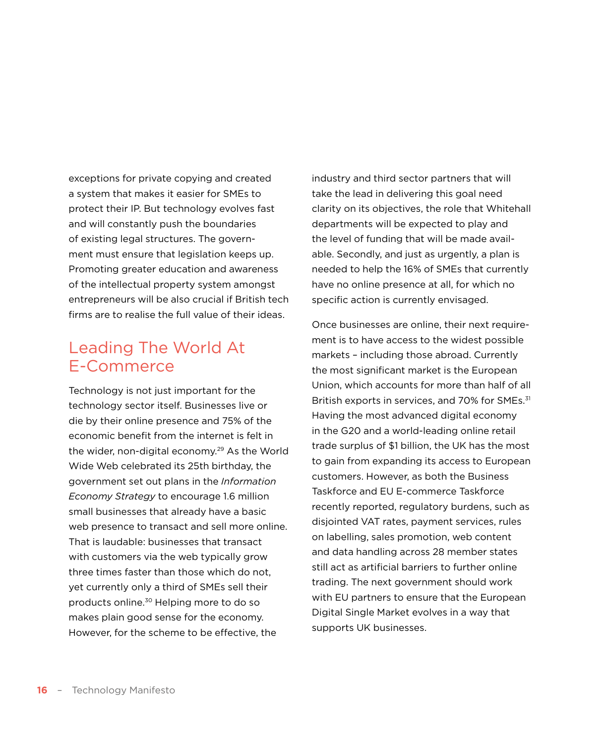<span id="page-15-0"></span>exceptions for private copying and created a system that makes it easier for SMEs to protect their IP. But technology evolves fast and will constantly push the boundaries of existing legal structures. The government must ensure that legislation keeps up. Promoting greater education and awareness of the intellectual property system amongst entrepreneurs will be also crucial if British tech firms are to realise the full value of their ideas.

#### Leading The World At E-Commerce

Technology is not just important for the technology sector itself. Businesses live or die by their online presence and 75% of the economic benefit from the internet is felt in the wider, non-digital economy.<sup>29</sup> As the World Wide Web celebrated its 25th birthday, the government set out plans in the *Information Economy Strategy* to encourage 1.6 million small businesses that already have a basic web presence to transact and sell more online. That is laudable: businesses that transact with customers via the web typically grow three times faster than those which do not, yet currently only a third of SMEs sell their products online.30 Helping more to do so makes plain good sense for the economy. However, for the scheme to be effective, the

industry and third sector partners that will take the lead in delivering this goal need clarity on its objectives, the role that Whitehall departments will be expected to play and the level of funding that will be made available. Secondly, and just as urgently, a plan is needed to help the 16% of SMEs that currently have no online presence at all, for which no specific action is currently envisaged.

Once businesses are online, their next requirement is to have access to the widest possible markets – including those abroad. Currently the most significant market is the European Union, which accounts for more than half of all British exports in services, and 70% for SMEs.<sup>31</sup> Having the most advanced digital economy in the G20 and a world-leading online retail trade surplus of \$1 billion, the UK has the most to gain from expanding its access to European customers. However, as both the Business Taskforce and EU E-commerce Taskforce recently reported, regulatory burdens, such as disjointed VAT rates, payment services, rules on labelling, sales promotion, web content and data handling across 28 member states still act as artificial barriers to further online trading. The next government should work with EU partners to ensure that the European Digital Single Market evolves in a way that supports UK businesses.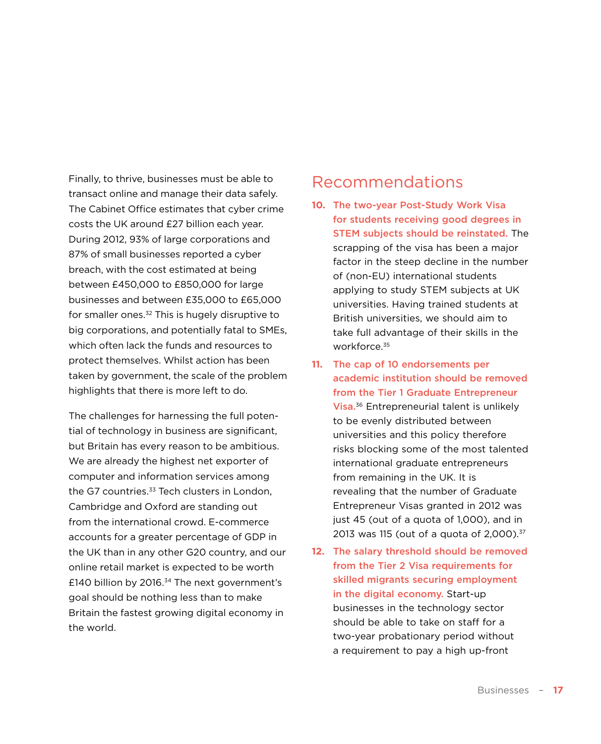<span id="page-16-0"></span>Finally, to thrive, businesses must be able to transact online and manage their data safely. The Cabinet Office estimates that cyber crime costs the UK around £27 billion each year. During 2012, 93% of large corporations and 87% of small businesses reported a cyber breach, with the cost estimated at being between £450,000 to £850,000 for large businesses and between £35,000 to £65,000 for smaller ones.<sup>32</sup> This is hugely disruptive to big corporations, and potentially fatal to SMEs, which often lack the funds and resources to protect themselves. Whilst action has been taken by government, the scale of the problem highlights that there is more left to do.

The challenges for harnessing the full potential of technology in business are significant, but Britain has every reason to be ambitious. We are already the highest net exporter of computer and information services among the G7 countries.<sup>33</sup> Tech clusters in London, Cambridge and Oxford are standing out from the international crowd. E-commerce accounts for a greater percentage of GDP in the UK than in any other G20 country, and our online retail market is expected to be worth £140 billion by 2016.34 The next government's goal should be nothing less than to make Britain the fastest growing digital economy in the world.

#### Recommendations

- **10.** The two-year Post-Study Work Visa for students receiving good degrees in STEM subjects should be reinstated. The scrapping of the visa has been a major factor in the steep decline in the number of (non-EU) international students applying to study STEM subjects at UK universities. Having trained students at British universities, we should aim to take full advantage of their skills in the workforce.35
- **11.** The cap of 10 endorsements per academic institution should be removed from the Tier 1 Graduate Entrepreneur Visa.<sup>36</sup> Entrepreneurial talent is unlikely to be evenly distributed between universities and this policy therefore risks blocking some of the most talented international graduate entrepreneurs from remaining in the UK. It is revealing that the number of Graduate Entrepreneur Visas granted in 2012 was just 45 (out of a quota of 1,000), and in 2013 was 115 (out of a quota of  $2,000$ ).<sup>37</sup>
- **12.** The salary threshold should be removed from the Tier 2 Visa requirements for skilled migrants securing employment in the digital economy. Start-up businesses in the technology sector should be able to take on staff for a two-year probationary period without a requirement to pay a high up-front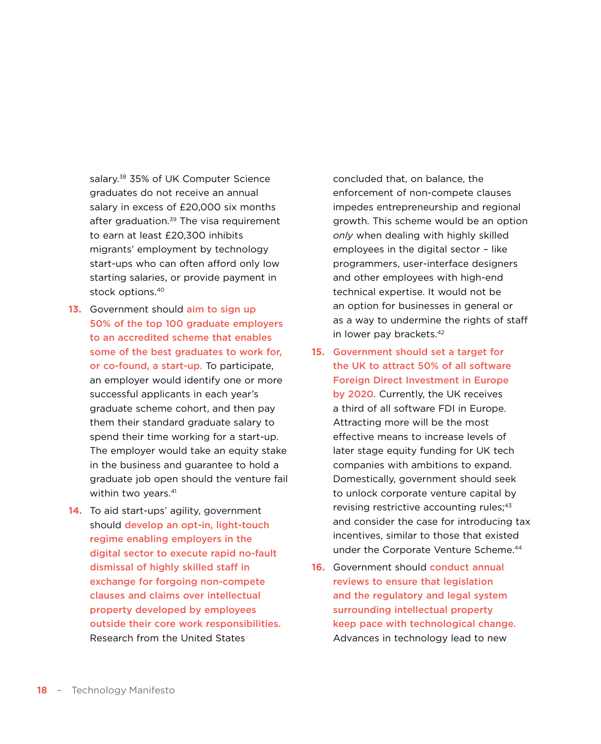salary.<sup>38</sup> 35% of UK Computer Science graduates do not receive an annual salary in excess of £20,000 six months after graduation.<sup>39</sup> The visa requirement to earn at least £20,300 inhibits migrants' employment by technology start-ups who can often afford only low starting salaries, or provide payment in stock options.40

- **13.** Government should aim to sign up 50% of the top 100 graduate employers to an accredited scheme that enables some of the best graduates to work for, or co-found, a start-up. To participate, an employer would identify one or more successful applicants in each year's graduate scheme cohort, and then pay them their standard graduate salary to spend their time working for a start-up. The employer would take an equity stake in the business and guarantee to hold a graduate job open should the venture fail within two years.<sup>41</sup>
- **14.** To aid start-ups' agility, government should develop an opt-in, light-touch regime enabling employers in the digital sector to execute rapid no-fault dismissal of highly skilled staff in exchange for forgoing non-compete clauses and claims over intellectual property developed by employees outside their core work responsibilities. Research from the United States

concluded that, on balance, the enforcement of non-compete clauses impedes entrepreneurship and regional growth. This scheme would be an option *only* when dealing with highly skilled employees in the digital sector – like programmers, user-interface designers and other employees with high-end technical expertise. It would not be an option for businesses in general or as a way to undermine the rights of staff in lower pay brackets.42

- **15.** Government should set a target for the UK to attract 50% of all software Foreign Direct Investment in Europe by 2020. Currently, the UK receives a third of all software FDI in Europe. Attracting more will be the most effective means to increase levels of later stage equity funding for UK tech companies with ambitions to expand. Domestically, government should seek to unlock corporate venture capital by revising restrictive accounting rules;<sup>43</sup> and consider the case for introducing tax incentives, similar to those that existed under the Corporate Venture Scheme.<sup>44</sup>
- **16.** Government should **conduct annual** reviews to ensure that legislation and the regulatory and legal system surrounding intellectual property keep pace with technological change. Advances in technology lead to new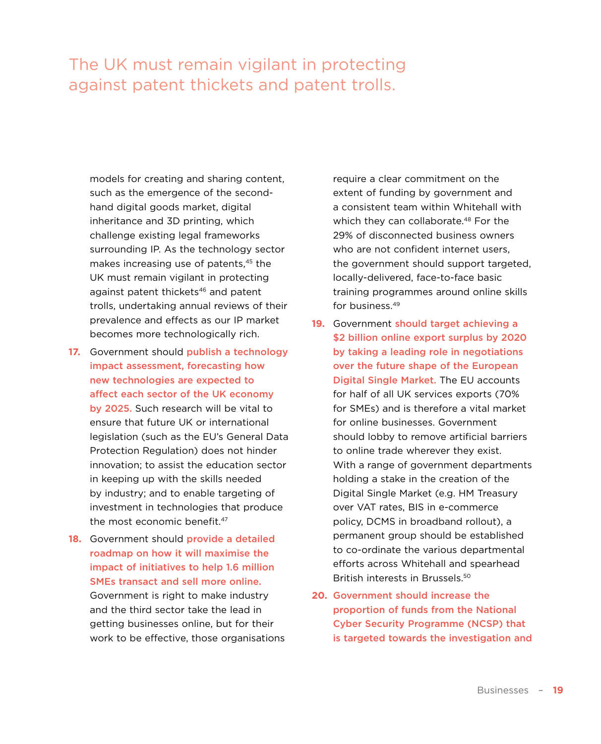### The UK must remain vigilant in protecting against patent thickets and patent trolls.

models for creating and sharing content, such as the emergence of the secondhand digital goods market, digital inheritance and 3D printing, which challenge existing legal frameworks surrounding IP. As the technology sector makes increasing use of patents.<sup>45</sup> the UK must remain vigilant in protecting against patent thickets<sup>46</sup> and patent trolls, undertaking annual reviews of their prevalence and effects as our IP market becomes more technologically rich.

- **17.** Government should publish a technology impact assessment, forecasting how new technologies are expected to affect each sector of the UK economy by 2025. Such research will be vital to ensure that future UK or international legislation (such as the EU's General Data Protection Regulation) does not hinder innovation; to assist the education sector in keeping up with the skills needed by industry; and to enable targeting of investment in technologies that produce the most economic benefit.<sup>47</sup>
- **18.** Government should provide a detailed roadmap on how it will maximise the impact of initiatives to help 1.6 million SMEs transact and sell more online. Government is right to make industry and the third sector take the lead in getting businesses online, but for their work to be effective, those organisations

require a clear commitment on the extent of funding by government and a consistent team within Whitehall with which they can collaborate.<sup>48</sup> For the 29% of disconnected business owners who are not confident internet users, the government should support targeted, locally-delivered, face-to-face basic training programmes around online skills for business.49

- **19.** Government should target achieving a \$2 billion online export surplus by 2020 by taking a leading role in negotiations over the future shape of the European Digital Single Market. The EU accounts for half of all UK services exports (70% for SMEs) and is therefore a vital market for online businesses. Government should lobby to remove artificial barriers to online trade wherever they exist. With a range of government departments holding a stake in the creation of the Digital Single Market (e.g. HM Treasury over VAT rates, BIS in e-commerce policy, DCMS in broadband rollout), a permanent group should be established to co-ordinate the various departmental efforts across Whitehall and spearhead British interests in Brussels.50
- **20.** Government should increase the proportion of funds from the National Cyber Security Programme (NCSP) that is targeted towards the investigation and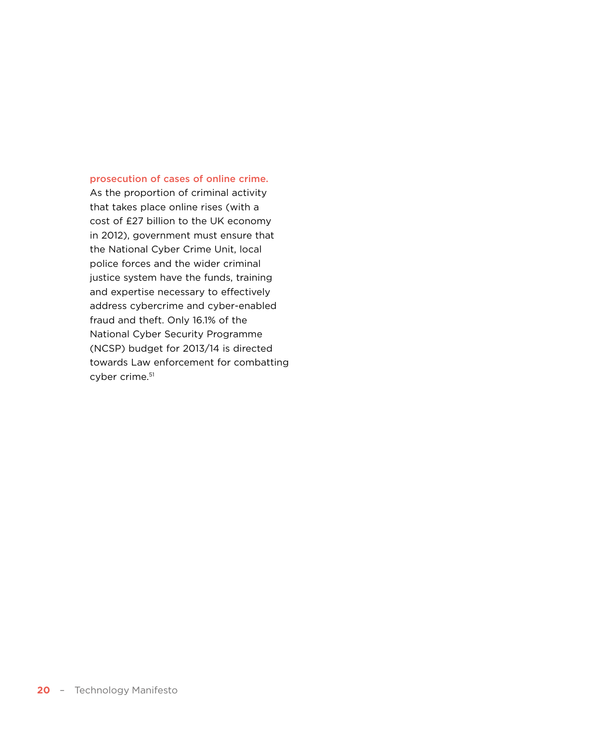#### prosecution of cases of online crime.

As the proportion of criminal activity that takes place online rises (with a cost of £27 billion to the UK economy in 2012), government must ensure that the National Cyber Crime Unit, local police forces and the wider criminal justice system have the funds, training and expertise necessary to effectively address cybercrime and cyber-enabled fraud and theft. Only 16.1% of the National Cyber Security Programme (NCSP) budget for 2013/14 is directed towards Law enforcement for combatting cyber crime.<sup>51</sup>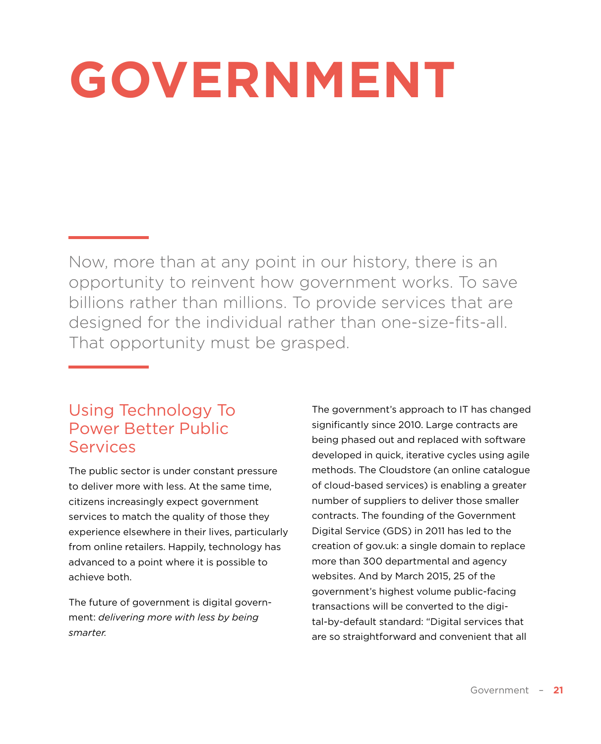## <span id="page-20-0"></span>**GOVERNMENT**

Now, more than at any point in our history, there is an opportunity to reinvent how government works. To save billions rather than millions. To provide services that are designed for the individual rather than one-size-fits-all. That opportunity must be grasped.

#### Using Technology To Power Better Public **Services**

The public sector is under constant pressure to deliver more with less. At the same time, citizens increasingly expect government services to match the quality of those they experience elsewhere in their lives, particularly from online retailers. Happily, technology has advanced to a point where it is possible to achieve both.

The future of government is digital government: *delivering more with less by being smarter.*

The government's approach to IT has changed significantly since 2010. Large contracts are being phased out and replaced with software developed in quick, iterative cycles using agile methods. The Cloudstore (an online catalogue of cloud-based services) is enabling a greater number of suppliers to deliver those smaller contracts. The founding of the Government Digital Service (GDS) in 2011 has led to the creation of [gov.uk:](gov.uk) a single domain to replace more than 300 departmental and agency websites. And by March 2015, 25 of the government's highest volume public-facing transactions will be converted to the digital-by-default standard: "Digital services that are so straightforward and convenient that all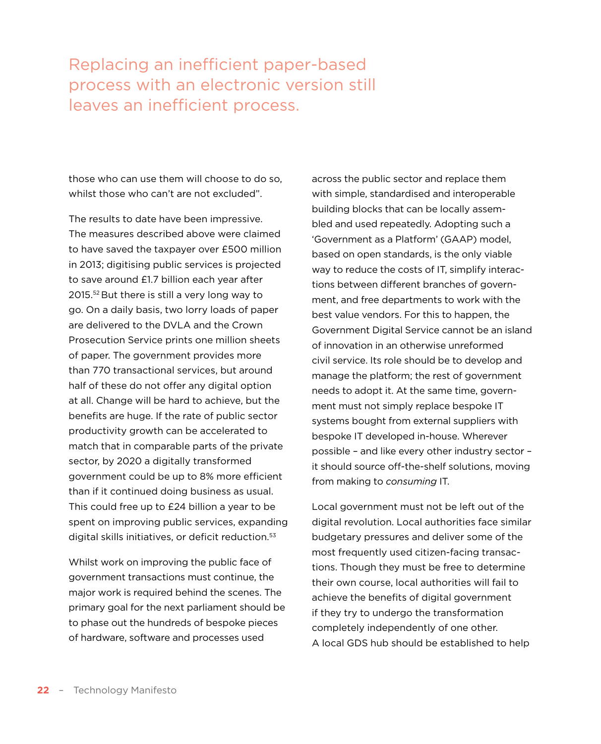Replacing an inefficient paper-based process with an electronic version still leaves an inefficient process.

those who can use them will choose to do so, whilst those who can't are not excluded".

The results to date have been impressive. The measures described above were claimed to have saved the taxpayer over £500 million in 2013; digitising public services is projected to save around £1.7 billion each year after 2015.52 But there is still a very long way to go. On a daily basis, two lorry loads of paper are delivered to the DVLA and the Crown Prosecution Service prints one million sheets of paper. The government provides more than 770 transactional services, but around half of these do not offer any digital option at all. Change will be hard to achieve, but the benefits are huge. If the rate of public sector productivity growth can be accelerated to match that in comparable parts of the private sector, by 2020 a digitally transformed government could be up to 8% more efficient than if it continued doing business as usual. This could free up to £24 billion a year to be spent on improving public services, expanding digital skills initiatives, or deficit reduction.53

Whilst work on improving the public face of government transactions must continue, the major work is required behind the scenes. The primary goal for the next parliament should be to phase out the hundreds of bespoke pieces of hardware, software and processes used

across the public sector and replace them with simple, standardised and interoperable building blocks that can be locally assembled and used repeatedly. Adopting such a 'Government as a Platform' (GAAP) model, based on open standards, is the only viable way to reduce the costs of IT, simplify interactions between different branches of government, and free departments to work with the best value vendors. For this to happen, the Government Digital Service cannot be an island of innovation in an otherwise unreformed civil service. Its role should be to develop and manage the platform; the rest of government needs to adopt it. At the same time, government must not simply replace bespoke IT systems bought from external suppliers with bespoke IT developed in-house. Wherever possible – and like every other industry sector – it should source off-the-shelf solutions, moving from making to *consuming* IT.

Local government must not be left out of the digital revolution. Local authorities face similar budgetary pressures and deliver some of the most frequently used citizen-facing transactions. Though they must be free to determine their own course, local authorities will fail to achieve the benefits of digital government if they try to undergo the transformation completely independently of one other. A local GDS hub should be established to help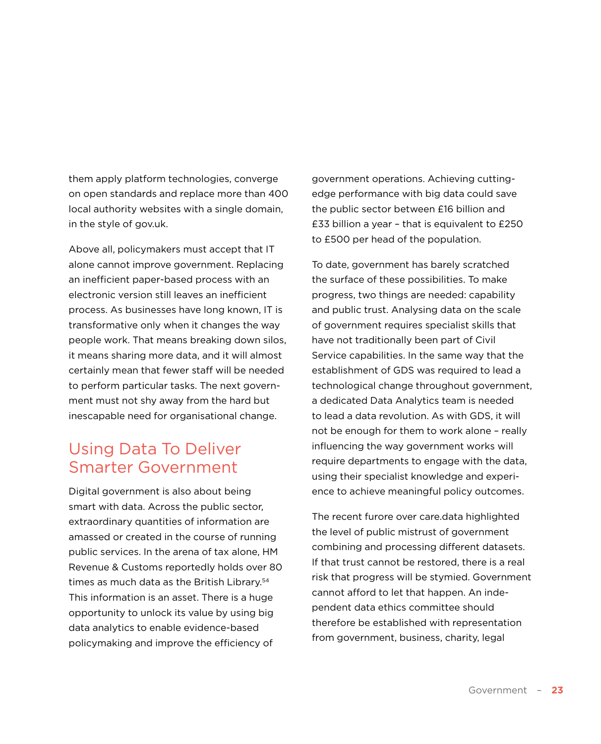<span id="page-22-0"></span>them apply platform technologies, converge on open standards and replace more than 400 local authority websites with a single domain, in the style of<gov.uk>.

Above all, policymakers must accept that IT alone cannot improve government. Replacing an inefficient paper-based process with an electronic version still leaves an inefficient process. As businesses have long known, IT is transformative only when it changes the way people work. That means breaking down silos, it means sharing more data, and it will almost certainly mean that fewer staff will be needed to perform particular tasks. The next government must not shy away from the hard but inescapable need for organisational change.

#### Using Data To Deliver Smarter Government

Digital government is also about being smart with data. Across the public sector, extraordinary quantities of information are amassed or created in the course of running public services. In the arena of tax alone, HM Revenue & Customs reportedly holds over 80 times as much data as the British Library.54 This information is an asset. There is a huge opportunity to unlock its value by using big data analytics to enable evidence-based policymaking and improve the efficiency of

government operations. Achieving cuttingedge performance with big data could save the public sector between £16 billion and £33 billion a year – that is equivalent to £250 to £500 per head of the population.

To date, government has barely scratched the surface of these possibilities. To make progress, two things are needed: capability and public trust. Analysing data on the scale of government requires specialist skills that have not traditionally been part of Civil Service capabilities. In the same way that the establishment of GDS was required to lead a technological change throughout government, a dedicated Data Analytics team is needed to lead a data revolution. As with GDS, it will not be enough for them to work alone – really influencing the way government works will require departments to engage with the data, using their specialist knowledge and experience to achieve meaningful policy outcomes.

The recent furore over <care.data>highlighted the level of public mistrust of government combining and processing different datasets. If that trust cannot be restored, there is a real risk that progress will be stymied. Government cannot afford to let that happen. An independent data ethics committee should therefore be established with representation from government, business, charity, legal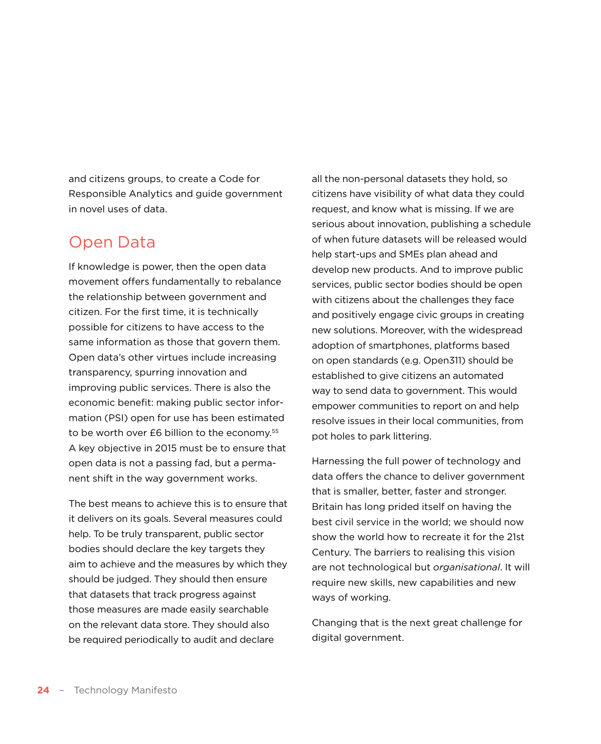and citizens groups, to create a Code for Responsible Analytics and guide government in novel uses of data.

#### Open Data

If knowledge is power, then the open data movement offers fundamentally to rebalance the relationship between government and citizen. For the first time, it is technically possible for citizens to have access to the same information as those that govern them. Open data's other virtues include increasing transparency, spurring innovation and improving public services. There is also the economic benefit: making public sector information (PSI) open for use has been estimated to be worth over £6 billion to the economy.<sup>55</sup> A key objective in 2015 must be to ensure that open data is not a passing fad, but a permanent shift in the way government works.

The best means to achieve this is to ensure that it delivers on its goals. Several measures could help. To be truly transparent, public sector bodies should declare the key targets they aim to achieve and the measures by which they should be judged. They should then ensure that datasets that track progress against those measures are made easily searchable on the relevant data store. They should also be required periodically to audit and declare

all the non-personal datasets they hold, so citizens have visibility of what data they could request, and know what is missing. If we are serious about innovation, publishing a schedule of when future datasets will be released would help start-ups and SMEs plan ahead and develop new products. And to improve public services, public sector bodies should be open with citizens about the challenges they face and positively engage civic groups in creating new solutions. Moreover, with the widespread adoption of smartphones, platforms based on open standards (e.g. Open311) should be established to give citizens an automated way to send data to government. This would empower communities to report on and help resolve issues in their local communities, from pot holes to park littering.

Harnessing the full power of technology and data offers the chance to deliver government that is smaller, better, faster and stronger. Britain has long prided itself on having the best civil service in the world; we should now show the world how to recreate it for the 21st Century. The barriers to realising this vision are not technological but *organisational*. It will require new skills, new capabilities and new ways of working.

Changing that is the next great challenge for digital government.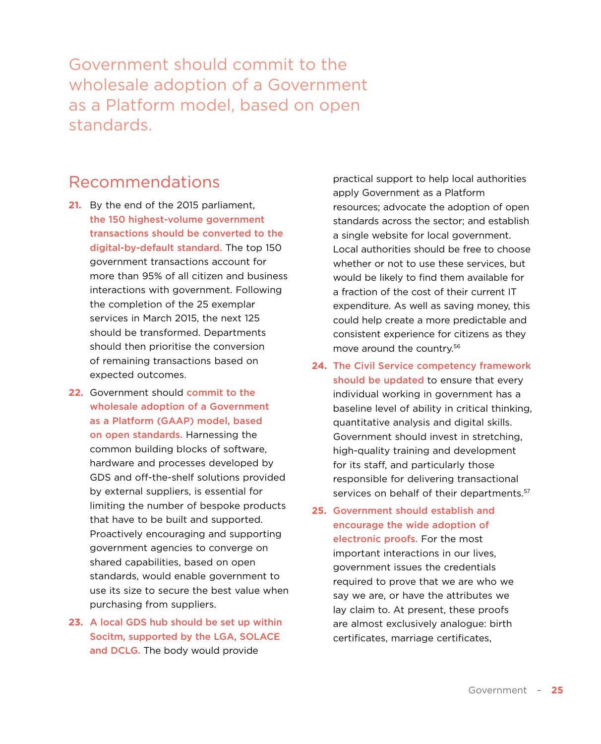<span id="page-24-0"></span>Government should commit to the wholesale adoption of a Government as a Platform model, based on open standards.

#### Recommendations

- **21.** By the end of the 2015 parliament, the 150 highest-volume government transactions should be converted to the digital-by-default standard. The top 150 government transactions account for more than 95% of all citizen and business interactions with government. Following the completion of the 25 exemplar services in March 2015, the next 125 should be transformed. Departments should then prioritise the conversion of remaining transactions based on expected outcomes.
- **22.** Government should commit to the wholesale adoption of a Government as a Platform (GAAP) model, based on open standards. Harnessing the common building blocks of software, hardware and processes developed by GDS and off-the-shelf solutions provided by external suppliers, is essential for limiting the number of bespoke products that have to be built and supported. Proactively encouraging and supporting government agencies to converge on shared capabilities, based on open standards, would enable government to use its size to secure the best value when purchasing from suppliers.
- **23.** A local GDS hub should be set up within Socitm, supported by the LGA, SOLACE and DCLG. The body would provide

practical support to help local authorities apply Government as a Platform resources; advocate the adoption of open standards across the sector; and establish a single website for local government. Local authorities should be free to choose whether or not to use these services, but would be likely to find them available for a fraction of the cost of their current IT expenditure. As well as saving money, this could help create a more predictable and consistent experience for citizens as they move around the country.56

**24.** The Civil Service competency framework should be updated to ensure that every individual working in government has a baseline level of ability in critical thinking, quantitative analysis and digital skills. Government should invest in stretching, high-quality training and development for its staff, and particularly those responsible for delivering transactional services on behalf of their departments.<sup>57</sup>

**25.** Government should establish and encourage the wide adoption of electronic proofs. For the most important interactions in our lives, government issues the credentials required to prove that we are who we say we are, or have the attributes we lay claim to. At present, these proofs are almost exclusively analogue: birth certificates, marriage certificates,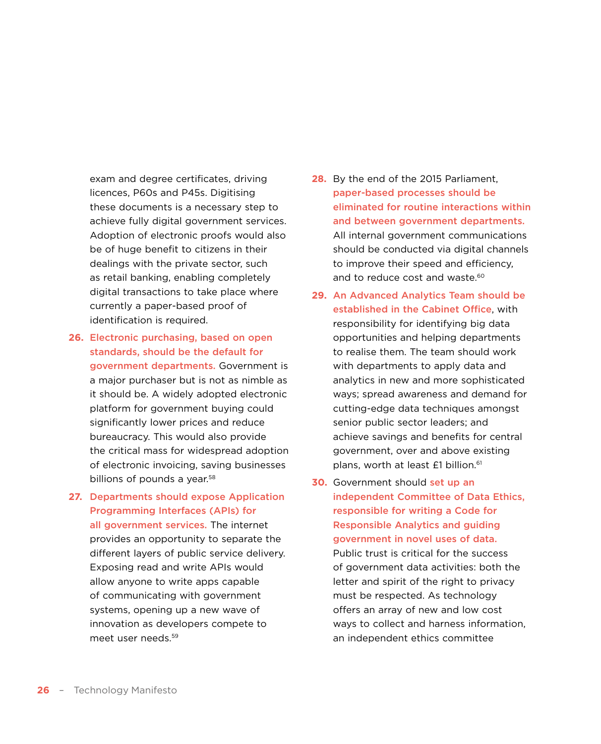exam and degree certificates, driving licences, P60s and P45s. Digitising these documents is a necessary step to achieve fully digital government services. Adoption of electronic proofs would also be of huge benefit to citizens in their dealings with the private sector, such as retail banking, enabling completely digital transactions to take place where currently a paper-based proof of identification is required.

- **26.** Electronic purchasing, based on open standards, should be the default for government departments. Government is a major purchaser but is not as nimble as it should be. A widely adopted electronic platform for government buying could significantly lower prices and reduce bureaucracy. This would also provide the critical mass for widespread adoption of electronic invoicing, saving businesses billions of pounds a year.<sup>58</sup>
- **27.** Departments should expose Application Programming Interfaces (APIs) for all government services. The internet provides an opportunity to separate the different layers of public service delivery. Exposing read and write APIs would allow anyone to write apps capable of communicating with government systems, opening up a new wave of innovation as developers compete to meet user needs.59
- **28.** By the end of the 2015 Parliament, paper-based processes should be eliminated for routine interactions within and between government departments. All internal government communications should be conducted via digital channels to improve their speed and efficiency, and to reduce cost and waste.<sup>60</sup>
- **29.** An Advanced Analytics Team should be established in the Cabinet Office, with responsibility for identifying big data opportunities and helping departments to realise them. The team should work with departments to apply data and analytics in new and more sophisticated ways; spread awareness and demand for cutting-edge data techniques amongst senior public sector leaders; and achieve savings and benefits for central government, over and above existing plans, worth at least £1 billion.<sup>61</sup>
- **30.** Government should set up an independent Committee of Data Ethics, responsible for writing a Code for Responsible Analytics and guiding government in novel uses of data. Public trust is critical for the success of government data activities: both the letter and spirit of the right to privacy must be respected. As technology offers an array of new and low cost ways to collect and harness information, an independent ethics committee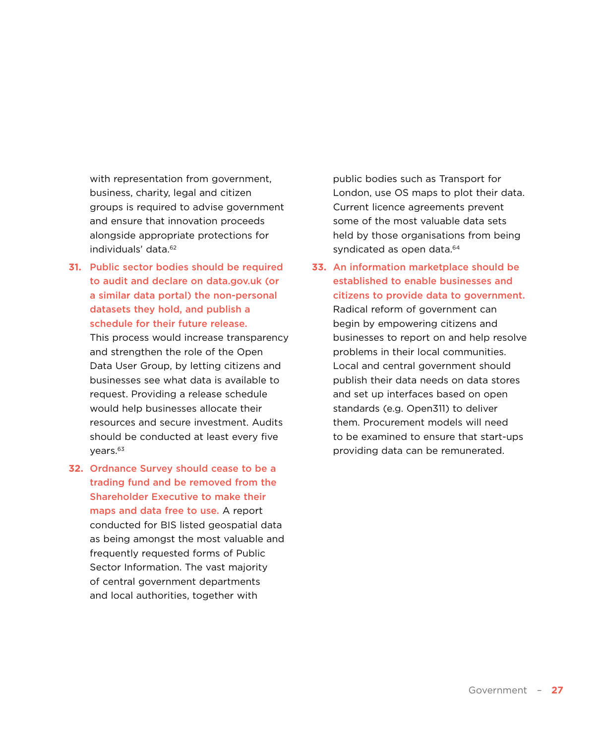with representation from government, business, charity, legal and citizen groups is required to advise government and ensure that innovation proceeds alongside appropriate protections for individuals' data.62

**31.** Public sector bodies should be required to audit and declare on<data.gov.uk> (or a similar data portal) the non-personal datasets they hold, and publish a schedule for their future release.

This process would increase transparency and strengthen the role of the Open Data User Group, by letting citizens and businesses see what data is available to request. Providing a release schedule would help businesses allocate their resources and secure investment. Audits should be conducted at least every five years.63

**32.** Ordnance Survey should cease to be a trading fund and be removed from the Shareholder Executive to make their maps and data free to use. A report conducted for BIS listed geospatial data as being amongst the most valuable and frequently requested forms of Public Sector Information. The vast majority of central government departments and local authorities, together with

public bodies such as Transport for London, use OS maps to plot their data. Current licence agreements prevent some of the most valuable data sets held by those organisations from being syndicated as open data.<sup>64</sup>

**33.** An information marketplace should be established to enable businesses and citizens to provide data to government. Radical reform of government can begin by empowering citizens and businesses to report on and help resolve problems in their local communities. Local and central government should publish their data needs on data stores and set up interfaces based on open standards (e.g. Open311) to deliver them. Procurement models will need to be examined to ensure that start-ups providing data can be remunerated.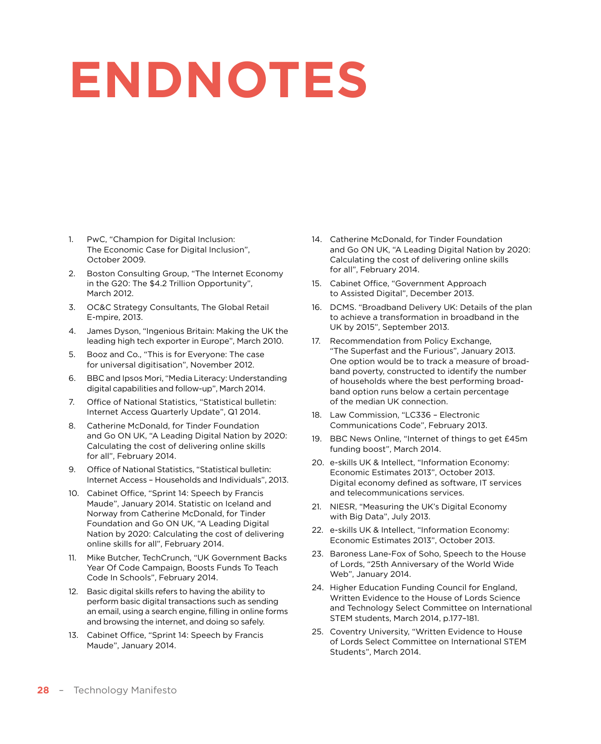# **ENDNOTES**

- 1. PwC, "Champion for Digital Inclusion: The Economic Case for Digital Inclusion", October 2009.
- 2. Boston Consulting Group, "The Internet Economy in the G20: The \$4.2 Trillion Opportunity", March 2012.
- 3. OC&C Strategy Consultants, The Global Retail E-mpire, 2013.
- 4. James Dyson, "Ingenious Britain: Making the UK the leading high tech exporter in Europe", March 2010.
- 5. Booz and Co., "This is for Everyone: The case for universal digitisation", November 2012.
- 6. BBC and Ipsos Mori, "Media Literacy: Understanding digital capabilities and follow-up", March 2014.
- 7. Office of National Statistics, "Statistical bulletin: Internet Access Quarterly Update", Q1 2014.
- 8. Catherine McDonald, for Tinder Foundation and Go ON UK, "A Leading Digital Nation by 2020: Calculating the cost of delivering online skills for all", February 2014.
- 9. Office of National Statistics, "Statistical bulletin: Internet Access – Households and Individuals", 2013.
- 10. Cabinet Office, "Sprint 14: Speech by Francis Maude", January 2014. Statistic on Iceland and Norway from Catherine McDonald, for Tinder Foundation and Go ON UK, "A Leading Digital Nation by 2020: Calculating the cost of delivering online skills for all", February 2014.
- 11. Mike Butcher, TechCrunch, "UK Government Backs Year Of Code Campaign, Boosts Funds To Teach Code In Schools", February 2014.
- 12. Basic digital skills refers to having the ability to perform basic digital transactions such as sending an email, using a search engine, filling in online forms and browsing the internet, and doing so safely.
- 13. Cabinet Office, "Sprint 14: Speech by Francis Maude", January 2014.
- 14. Catherine McDonald, for Tinder Foundation and Go ON UK, "A Leading Digital Nation by 2020: Calculating the cost of delivering online skills for all", February 2014.
- 15. Cabinet Office, "Government Approach to Assisted Digital", December 2013.
- 16. DCMS. "Broadband Delivery UK: Details of the plan to achieve a transformation in broadband in the UK by 2015", September 2013.
- 17. Recommendation from Policy Exchange, "The Superfast and the Furious", January 2013. One option would be to track a measure of broadband poverty, constructed to identify the number of households where the best performing broadband option runs below a certain percentage of the median UK connection.
- 18. Law Commission, "LC336 Electronic Communications Code", February 2013.
- 19. BBC News Online, "Internet of things to get £45m funding boost", March 2014.
- 20. e-skills UK & Intellect, "Information Economy: Economic Estimates 2013", October 2013. Digital economy defined as software, IT services and telecommunications services.
- 21. NIESR, "Measuring the UK's Digital Economy with Big Data", July 2013.
- 22. e-skills UK & Intellect, "Information Economy: Economic Estimates 2013", October 2013.
- 23. Baroness Lane-Fox of Soho, Speech to the House of Lords, "25th Anniversary of the World Wide Web", January 2014.
- 24. Higher Education Funding Council for England, Written Evidence to the House of Lords Science and Technology Select Committee on International STEM students, March 2014, p.177–181.
- 25. Coventry University, "Written Evidence to House of Lords Select Committee on International STEM Students", March 2014.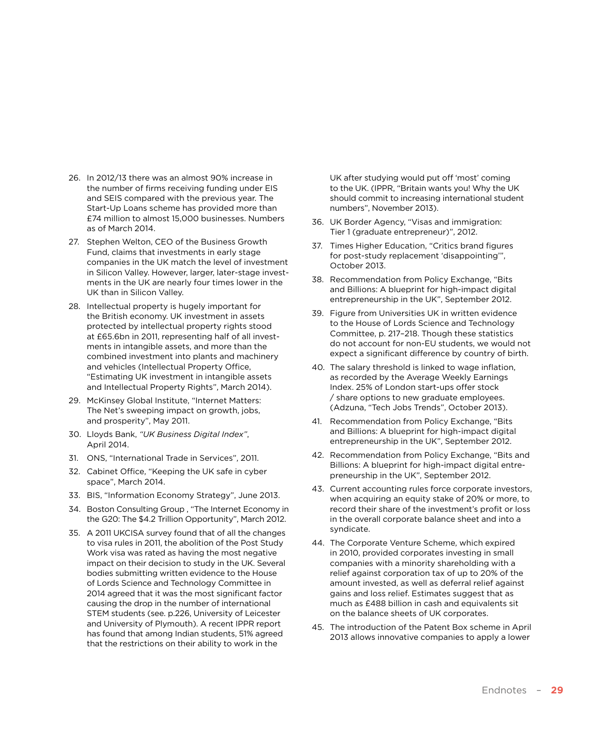- 26. In 2012/13 there was an almost 90% increase in the number of firms receiving funding under EIS and SEIS compared with the previous year. The Start-Up Loans scheme has provided more than £74 million to almost 15,000 businesses. Numbers as of March 2014.
- 27. Stephen Welton, CEO of the Business Growth Fund, claims that investments in early stage companies in the UK match the level of investment in Silicon Valley. However, larger, later-stage investments in the UK are nearly four times lower in the UK than in Silicon Valley.
- 28. Intellectual property is hugely important for the British economy. UK investment in assets protected by intellectual property rights stood at £65.6bn in 2011, representing half of all investments in intangible assets, and more than the combined investment into plants and machinery and vehicles (Intellectual Property Office, "Estimating UK investment in intangible assets and Intellectual Property Rights", March 2014).
- 29. McKinsey Global Institute, "Internet Matters: The Net's sweeping impact on growth, jobs, and prosperity", May 2011.
- 30. Lloyds Bank, *"UK Business Digital Index"*, April 2014.
- 31. ONS, "International Trade in Services", 2011.
- 32. Cabinet Office, "Keeping the UK safe in cyber space", March 2014.
- 33. BIS, "Information Economy Strategy", June 2013.
- 34. Boston Consulting Group , "The Internet Economy in the G20: The \$4.2 Trillion Opportunity", March 2012.
- 35. A 2011 UKCISA survey found that of all the changes to visa rules in 2011, the abolition of the Post Study Work visa was rated as having the most negative impact on their decision to study in the UK. Several bodies submitting written evidence to the House of Lords Science and Technology Committee in 2014 agreed that it was the most significant factor causing the drop in the number of international STEM students (see. p.226, University of Leicester and University of Plymouth). A recent IPPR report has found that among Indian students, 51% agreed that the restrictions on their ability to work in the

UK after studying would put off 'most' coming to the UK. (IPPR, "Britain wants you! Why the UK should commit to increasing international student numbers", November 2013).

- 36. UK Border Agency, "Visas and immigration: Tier 1 (graduate entrepreneur)", 2012.
- 37. Times Higher Education, "Critics brand figures for post-study replacement 'disappointing'", October 2013.
- 38. Recommendation from Policy Exchange, "Bits and Billions: A blueprint for high-impact digital entrepreneurship in the UK", September 2012.
- 39. Figure from Universities UK in written evidence to the House of Lords Science and Technology Committee, p. 217–218. Though these statistics do not account for non-EU students, we would not expect a significant difference by country of birth.
- 40. The salary threshold is linked to wage inflation, as recorded by the Average Weekly Earnings Index. 25% of London start-ups offer stock / share options to new graduate employees. (Adzuna, "Tech Jobs Trends", October 2013).
- 41. Recommendation from Policy Exchange, "Bits and Billions: A blueprint for high-impact digital entrepreneurship in the UK", September 2012.
- 42. Recommendation from Policy Exchange, "Bits and Billions: A blueprint for high-impact digital entrepreneurship in the UK", September 2012.
- 43. Current accounting rules force corporate investors, when acquiring an equity stake of 20% or more, to record their share of the investment's profit or loss in the overall corporate balance sheet and into a syndicate.
- 44. The Corporate Venture Scheme, which expired in 2010, provided corporates investing in small companies with a minority shareholding with a relief against corporation tax of up to 20% of the amount invested, as well as deferral relief against gains and loss relief. Estimates suggest that as much as £488 billion in cash and equivalents sit on the balance sheets of UK corporates.
- 45. The introduction of the Patent Box scheme in April 2013 allows innovative companies to apply a lower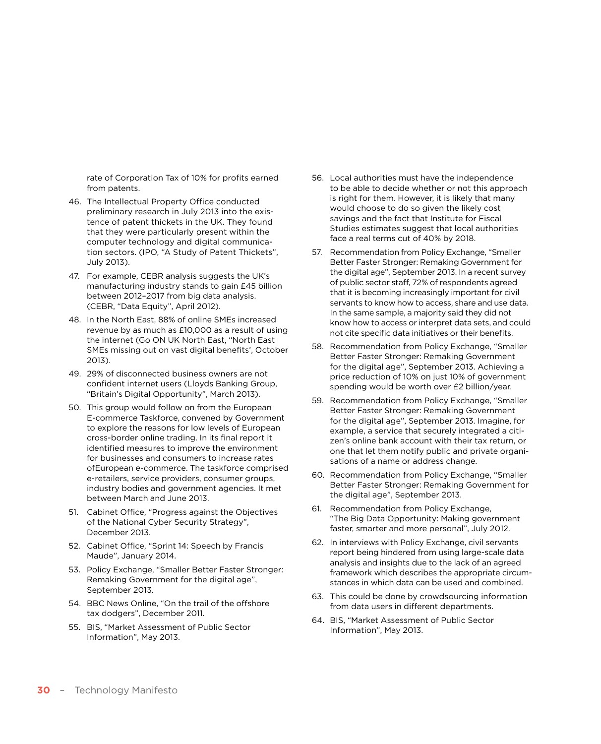rate of Corporation Tax of 10% for profits earned from patents.

- 46. The Intellectual Property Office conducted preliminary research in July 2013 into the existence of patent thickets in the UK. They found that they were particularly present within the computer technology and digital communication sectors. (IPO, "A Study of Patent Thickets", July 2013).
- 47. For example, CEBR analysis suggests the UK's manufacturing industry stands to gain £45 billion between 2012–2017 from big data analysis. (CEBR, "Data Equity", April 2012).
- 48. In the North East, 88% of online SMEs increased revenue by as much as £10,000 as a result of using the internet (Go ON UK North East, "North East SMEs missing out on vast digital benefits', October 2013).
- 49. 29% of disconnected business owners are not confident internet users (Lloyds Banking Group, "Britain's Digital Opportunity", March 2013).
- 50. This group would follow on from the European E-commerce Taskforce, convened by Government to explore the reasons for low levels of European cross-border online trading. In its final report it identified measures to improve the environment for businesses and consumers to increase rates ofEuropean e-commerce. The taskforce comprised e-retailers, service providers, consumer groups, industry bodies and government agencies. It met between March and June 2013.
- 51. Cabinet Office, "Progress against the Objectives of the National Cyber Security Strategy", December 2013.
- 52. Cabinet Office, "Sprint 14: Speech by Francis Maude", January 2014.
- 53. Policy Exchange, "Smaller Better Faster Stronger: Remaking Government for the digital age", September 2013.
- 54. BBC News Online, "On the trail of the offshore tax dodgers", December 2011.
- 55. BIS, "Market Assessment of Public Sector Information", May 2013.
- 56. Local authorities must have the independence to be able to decide whether or not this approach is right for them. However, it is likely that many would choose to do so given the likely cost savings and the fact that Institute for Fiscal Studies estimates suggest that local authorities face a real terms cut of 40% by 2018.
- 57. Recommendation from Policy Exchange, "Smaller Better Faster Stronger: Remaking Government for the digital age", September 2013. In a recent survey of public sector staff, 72% of respondents agreed that it is becoming increasingly important for civil servants to know how to access, share and use data. In the same sample, a majority said they did not know how to access or interpret data sets, and could not cite specific data initiatives or their benefits.
- 58. Recommendation from Policy Exchange, "Smaller Better Faster Stronger: Remaking Government for the digital age", September 2013. Achieving a price reduction of 10% on just 10% of government spending would be worth over £2 billion/year.
- 59. Recommendation from Policy Exchange, "Smaller Better Faster Stronger: Remaking Government for the digital age", September 2013. Imagine, for example, a service that securely integrated a citizen's online bank account with their tax return, or one that let them notify public and private organisations of a name or address change.
- 60. Recommendation from Policy Exchange, "Smaller Better Faster Stronger: Remaking Government for the digital age", September 2013.
- 61. Recommendation from Policy Exchange, "The Big Data Opportunity: Making government faster, smarter and more personal", July 2012.
- 62. In interviews with Policy Exchange, civil servants report being hindered from using large-scale data analysis and insights due to the lack of an agreed framework which describes the appropriate circumstances in which data can be used and combined.
- 63. This could be done by crowdsourcing information from data users in different departments.
- 64. BIS, "Market Assessment of Public Sector Information", May 2013.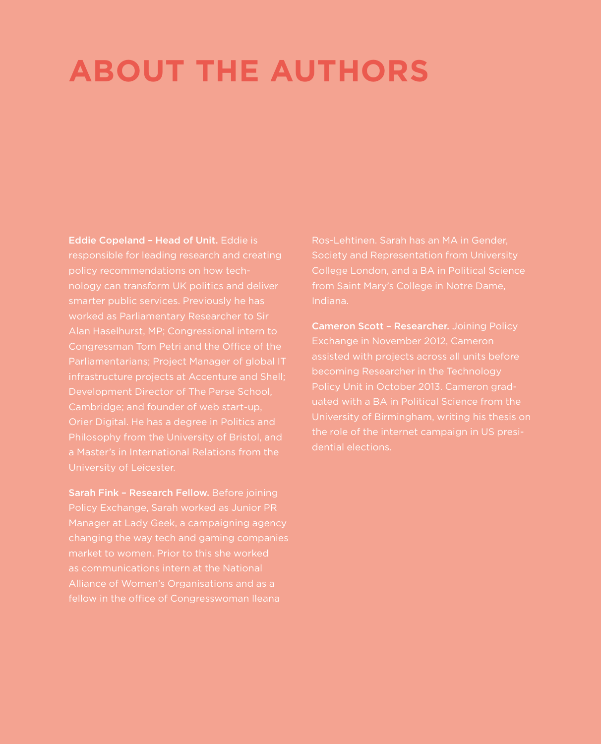### <span id="page-30-0"></span>**ABOUT THE AUTHORS**

Eddie Copeland – Head of Unit. Eddie is responsible for leading research and creating policy recommendations on how technology can transform UK politics and deliver smarter public services. Previously he has Alan Haselhurst, MP; Congressional intern to Congressman Tom Petri and the Office of the Parliamentarians; Project Manager of global IT infrastructure projects at Accenture and Shell; Development Director of The Perse School, Cambridge; and founder of web start-up, Orier Digital. He has a degree in Politics and a Master's in International Relations from the University of Leicester.

Sarah Fink – Research Fellow. Before joining Policy Exchange, Sarah worked as Junior PR Manager at Lady Geek, a campaigning agency changing the way tech and gaming companies market to women. Prior to this she worked as communications intern at the National Alliance of Women's Organisations and as a

Ros-Lehtinen. Sarah has an MA in Gender, Society and Representation from University College London, and a BA in Political Science from Saint Mary's College in Notre Dame, Indiana.

Cameron Scott – Researcher. Joining Policy Exchange in November 2012, Cameron assisted with projects across all units before becoming Researcher in the Technology Policy Unit in October 2013. Cameron graduated with a BA in Political Science from the the role of the internet campaign in US presidential elections.